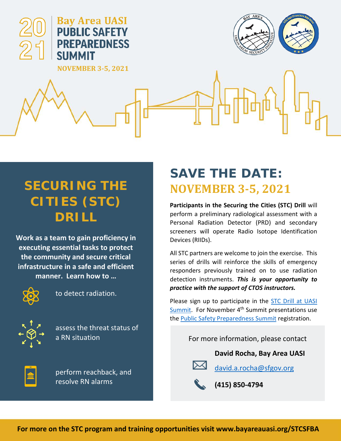

## **SECURING THE CITIES (STC) DRILL**

**Work as a team to gain proficiency in executing essential tasks to protect the community and secure critical infrastructure in a safe and efficient manner. Learn how to …**



to detect radiation.



assess the threat status of a RN situation



perform reachback, and resolve RN alarms

## **SAVE THE DATE: NOVEMBER 3-5, 2021**

**Participants in the Securing the Cities (STC) Drill** will perform a preliminary radiological assessment with a Personal Radiation Detector (PRD) and secondary screeners will operate Radio Isotope Identification Devices (RIIDs).

All STC partners are welcome to join the exercise. This series of drills will reinforce the skills of emergency responders previously trained on to use radiation detection instruments. *This is your opportunity to practice with the support of CTOS instructors.*

Please sign up to participate in the [STC Drill](https://www.signupgenius.com/go/10C0C45ABAB2BAAF4C70-stcdrills) at UASI [Summit.](https://www.signupgenius.com/go/10C0C45ABAB2BAAF4C70-stcdrills) For November 4<sup>th</sup> Summit presentations use the [Public Safety Preparedness Summit](http://bayareauasi.org/) registration.

For more information, please contact

**David Rocha, Bay Area UASI**



[david.a.rocha@sfgov.org](mailto:david.a.rocha@sfgov.org)



**For more on the STC program and training opportunities visit www.bayareauasi.org/STCSFBA**